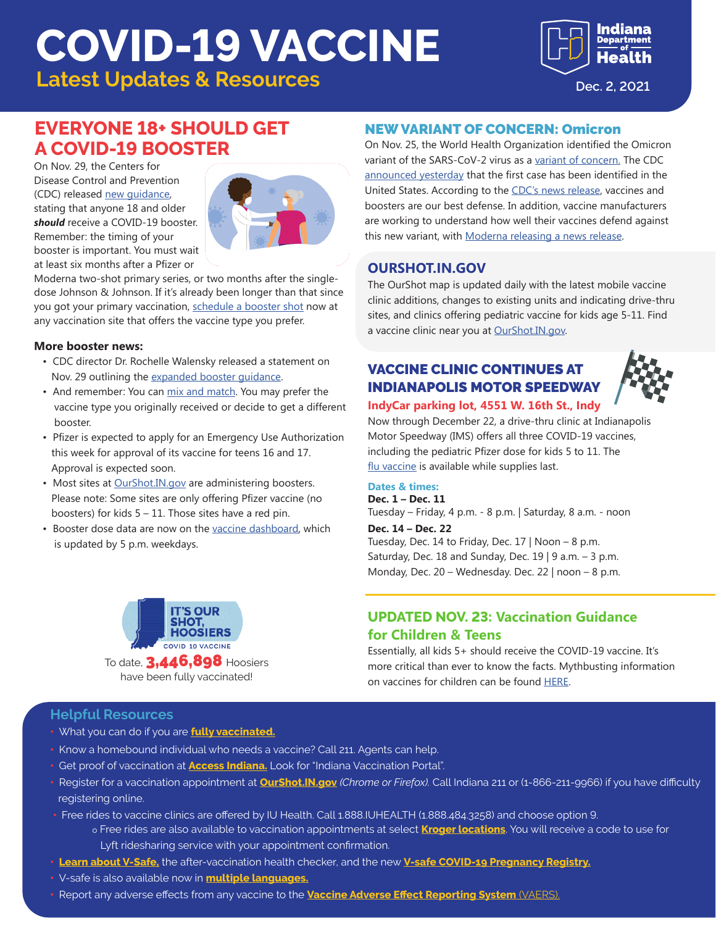# **COVID-19 VACCINE**

**Latest Updates & Resources Dec. 2, 2021** 



# **EVERYONE 18+ SHOULD GET A COVID-19 BOOSTER**

On Nov. 29, the Centers for Disease Control and Prevention (CDC) released [new guidance](https://www.cdc.gov/coronavirus/2019-ncov/vaccines/booster-shot.html?s_cid=11706:cdc%20covid%20booster:sem.ga:p:RG:GM:gen:PTN:FY22&fbclid=IwAR3pwiFfL0E8koImJVXB2knWuK5_LOf3NqOYEmViS7sF9R8grwnh_IvVzxU), stating that anyone 18 and older *should* receive a COVID-19 booster. Remember: the timing of your booster is important. You must wait at least six months after a Pfizer or



Moderna two-shot primary series, or two months after the singledose Johnson & Johnson. If it's already been longer than that since you got your primary vaccination, [schedule a booster shot](https://experience.arcgis.com/experience/24159814f1dd4f69b6c22e7e87bca65b) now at any vaccination site that offers the vaccine type you prefer.

#### **More booster news:**

- CDC director Dr. Rochelle Walensky released a statement on Nov. 29 outlining the [expanded booster guidance](https://www.cdc.gov/media/releases/2021/s1129-booster-recommendations.html).
- And remember: You can [mix and match](https://www.coronavirus.in.gov/files/21_Booster-mix-match.pdf). You may prefer the vaccine type you originally received or decide to get a different booster.
- Pfizer is expected to apply for an Emergency Use Authorization this week for approval of its vaccine for teens 16 and 17. Approval is expected soon.
- Most sites at **[OurShot.IN.gov](https://www.coronavirus.in.gov/vaccine/2680.htm)** are administering boosters. Please note: Some sites are only offering Pfizer vaccine (no boosters) for kids  $5 - 11$ . Those sites have a red pin.
- Booster dose data are now on the [vaccine dashboard](https://www.coronavirus.in.gov/vaccine/2680.htm), which is updated by 5 p.m. weekdays.

### NEW VARIANT OF CONCERN: Omicron

On Nov. 25, the World Health Organization identified the Omicron variant of the SARS-CoV-2 virus as a [variant of concern](https://www.who.int/en/activities/tracking-SARS-CoV-2-variants/). The CDC [announced yesterday](https://www.cdc.gov/media/releases/2021/s1201-omicron-variant.html) that the first case has been identified in the United States. According to the [CDC's news release](https://www.cdc.gov/media/releases/2021/s1126-B11-529-omicron.html), vaccines and boosters are our best defense. In addition, vaccine manufacturers are working to understand how well their vaccines defend against this new variant, with [Moderna releasing a news release.](https://investors.modernatx.com/news-releases/news-release-details/moderna-announces-strategy-address-omicron-b11529-sars-cov-2)

## **OURSHOT.IN.GOV**

The OurShot map is updated daily with the latest mobile vaccine clinic additions, changes to existing units and indicating drive-thru sites, and clinics offering pediatric vaccine for kids age 5-11. Find a vaccine clinic near you at [OurShot.IN.gov](https://www.coronavirus.in.gov/vaccine/2680.htm).

# VACCINE CLINIC CONTINUES AT INDIANAPOLIS MOTOR SPEEDWAY



#### **IndyCar parking lot, 4551 W. 16th St., Indy**

Now through December 22, a drive-thru clinic at Indianapolis Motor Speedway (IMS) offers all three COVID-19 vaccines, including the pediatric Pfizer dose for kids 5 to 11. The [flu vaccine](https://www.cdc.gov/vaccines/covid-19/clinical-considerations/covid-19-vaccines-us.html#Coadministration) is available while supplies last.

#### **Dates & times:**

**Dec. 1 – Dec. 11** Tuesday – Friday, 4 p.m. - 8 p.m. | Saturday, 8 a.m. - noon

**Dec. 14 – Dec. 22** Tuesday, Dec. 14 to Friday, Dec. 17 | Noon – 8 p.m. Saturday, Dec. 18 and Sunday, Dec. 19 | 9 a.m.  $-$  3 p.m. Monday, Dec. 20 – Wednesday. Dec. 22 | noon – 8 p.m.



To date,  $3,446,898$  Hoosiers have been fully vaccinated!

## **UPDATED NOV. 23: Vaccination Guidance for Children & Teens**

Essentially, all kids 5+ should receive the COVID-19 vaccine. It's more critical than ever to know the facts. Mythbusting information on vaccines for children can be found [HERE](https://www.cdc.gov/coronavirus/2019-ncov/vaccines/faq.html#:~:text=If%20you%20were%20treated%20for,COVID%2D19%20vaccine).

#### **Helpful Resources**

- What you can do if you are **[fully vaccinated.](https://www.coronavirus.in.gov/files/21_IN%20Vaccine%20effectiveness_8-9.pdf)**
- Know a homebound individual who needs a vaccine? Call 211. Agents can help.
- Get proof of vaccination at **[Access Indiana.](https://www.in.gov/access/available-services.html)** Look for "Indiana Vaccination Portal".
- Register for a vaccination appointment at **[OurShot.IN.gov](http://OurShot.IN.gov)** *(Chrome or Firefox).* Call Indiana 211 or (1-866-211-9966) if you have difficulty registering online.
- Free rides to vaccine clinics are offered by IU Health. Call 1.888.IUHEALTH (1.888.484.3258) and choose option 9. o Free rides are also available to vaccination appointments at select **[Kroger locations](https://www.kroger.com/rx/guest/get-vaccinated)**. You will receive a code to use for
	- Lyft ridesharing service with your appointment confirmation.
- **[Learn about V-Safe](https://www.cdc.gov/coronavirus/2019-ncov/vaccines/safety/vsafe.html),** the after-vaccination health checker, and the new **[V-safe COVID-19 Pregnancy Registry.](https://www.cdc.gov/coronavirus/2019-ncov/vaccines/safety/vsafepregnancyregistry.html)**
- V-safe is also available now in **[multiple languages.](https://vsafe.cdc.gov/en/)**
- Report any adverse effects from any vaccine to the **[Vaccine Adverse Effect Reporting System](https://vaers.hhs.gov/)** (VAERS).